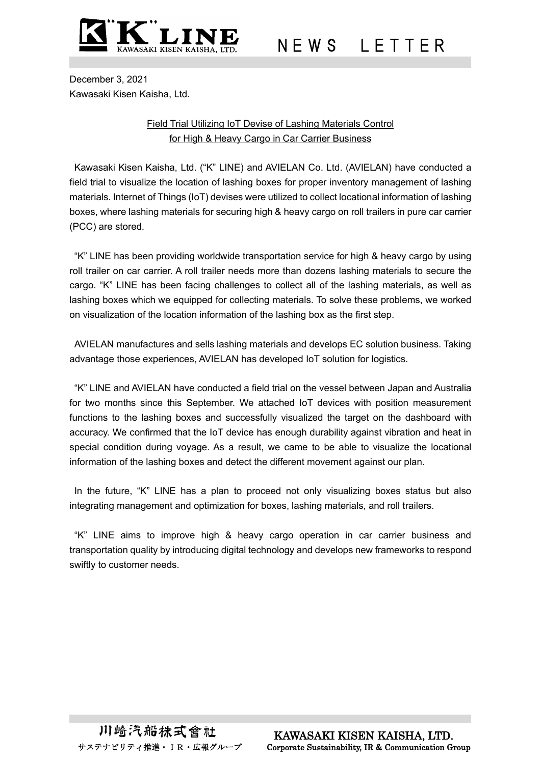

N E W S L E T T E R

December 3, 2021 Kawasaki Kisen Kaisha, Ltd.

## Field Trial Utilizing IoT Devise of Lashing Materials Control for High & Heavy Cargo in Car Carrier Business

Kawasaki Kisen Kaisha, Ltd. ("K" LINE) and AVIELAN Co. Ltd. (AVIELAN) have conducted a field trial to visualize the location of lashing boxes for proper inventory management of lashing materials. Internet of Things (IoT) devises were utilized to collect locational information of lashing boxes, where lashing materials for securing high & heavy cargo on roll trailers in pure car carrier (PCC) are stored.

"K" LINE has been providing worldwide transportation service for high & heavy cargo by using roll trailer on car carrier. A roll trailer needs more than dozens lashing materials to secure the cargo. "K" LINE has been facing challenges to collect all of the lashing materials, as well as lashing boxes which we equipped for collecting materials. To solve these problems, we worked on visualization of the location information of the lashing box as the first step.

AVIELAN manufactures and sells lashing materials and develops EC solution business. Taking advantage those experiences, AVIELAN has developed IoT solution for logistics.

"K" LINE and AVIELAN have conducted a field trial on the vessel between Japan and Australia for two months since this September. We attached IoT devices with position measurement functions to the lashing boxes and successfully visualized the target on the dashboard with accuracy. We confirmed that the IoT device has enough durability against vibration and heat in special condition during voyage. As a result, we came to be able to visualize the locational information of the lashing boxes and detect the different movement against our plan.

In the future, "K" LINE has a plan to proceed not only visualizing boxes status but also integrating management and optimization for boxes, lashing materials, and roll trailers.

"K" LINE aims to improve high & heavy cargo operation in car carrier business and transportation quality by introducing digital technology and develops new frameworks to respond swiftly to customer needs.